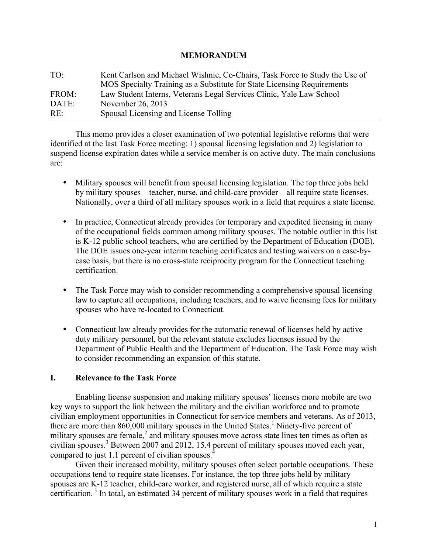#### **MEMORANDUM**

| TO <sup>1</sup> | Kent Carlson and Michael Wishnie, Co-Chairs, Task Force to Study the Use of<br>MOS Specialty Training as a Substitute for State Licensing Requirements |
|-----------------|--------------------------------------------------------------------------------------------------------------------------------------------------------|
| FROM:           | Law Student Interns, Veterans Legal Services Clinic, Yale Law School                                                                                   |
| DATE:           | November 26, 2013                                                                                                                                      |
| RE:             | Spousal Licensing and License Tolling                                                                                                                  |

This memo provides a closer examination of two potential legislative reforms that were identified at the last Task Force meeting: 1) spousal licensing legislation and 2) legislation to suspend license expiration dates while a service member is on active duty. The main conclusions are:

- Military spouses will benefit from spousal licensing legislation. The top three jobs held by military spouses – teacher, nurse, and child-care provider – all require state licenses. Nationally, over a third of all military spouses work in a field that requires a state license.
- In practice, Connecticut already provides for temporary and expedited licensing in many of the occupational fields common among military spouses. The notable outlier in this list is K-12 public school teachers, who are certified by the Department of Education (DOE). The DOE issues one-year interim teaching certificates and testing waivers on a case-bycase basis, but there is no cross-state reciprocity program for the Connecticut teaching certification.
- The Task Force may wish to consider recommending a comprehensive spousal licensing law to capture all occupations, including teachers, and to waive licensing fees for military spouses who have re-located to Connecticut.
- Connecticut law already provides for the automatic renewal of licenses held by active duty military personnel, but the relevant statute excludes licenses issued by the Department of Public Health and the Department of Education. The Task Force may wish to consider recommending an expansion of this statute.

### **I. Relevance to the Task Force**

Enabling license suspension and making military spouses' licenses more mobile are two key ways to support the link between the military and the civilian workforce and to promote civilian employment opportunities in Connecticut for service members and veterans. As of 2013, there are more than  $860,000$  military spouses in the United States.<sup>1</sup> Ninety-five percent of military spouses are female, $<sup>2</sup>$  and military spouses move across state lines ten times as often as</sup> civilian spouses.<sup>3</sup> Between 2007 and 2012, 15.4 percent of military spouses moved each year, compared to just 1.1 percent of civilian spouses.<sup>4</sup>

Given their increased mobility, military spouses often select portable occupations. These occupations tend to require state licenses. For instance, the top three jobs held by military spouses are K-12 teacher, child-care worker, and registered nurse, all of which require a state certification. <sup>5</sup> In total, an estimated 34 percent of military spouses work in a field that requires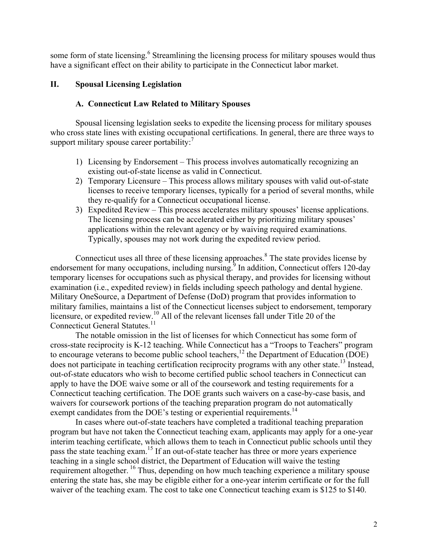some form of state licensing.<sup>6</sup> Streamlining the licensing process for military spouses would thus have a significant effect on their ability to participate in the Connecticut labor market.

# **II. Spousal Licensing Legislation**

# **A. Connecticut Law Related to Military Spouses**

Spousal licensing legislation seeks to expedite the licensing process for military spouses who cross state lines with existing occupational certifications. In general, there are three ways to support military spouse career portability: $<sup>7</sup>$ </sup>

- 1) Licensing by Endorsement This process involves automatically recognizing an existing out-of-state license as valid in Connecticut.
- 2) Temporary Licensure This process allows military spouses with valid out-of-state licenses to receive temporary licenses, typically for a period of several months, while they re-qualify for a Connecticut occupational license.
- 3) Expedited Review This process accelerates military spouses' license applications. The licensing process can be accelerated either by prioritizing military spouses' applications within the relevant agency or by waiving required examinations. Typically, spouses may not work during the expedited review period.

Connecticut uses all three of these licensing approaches. <sup>8</sup> The state provides license by endorsement for many occupations, including nursing.<sup>9</sup> In addition, Connecticut offers 120-day temporary licenses for occupations such as physical therapy, and provides for licensing without examination (i.e., expedited review) in fields including speech pathology and dental hygiene. Military OneSource, a Department of Defense (DoD) program that provides information to military families, maintains a list of the Connecticut licenses subject to endorsement, temporary licensure, or expedited review.<sup>10</sup> All of the relevant licenses fall under Title 20 of the Connecticut General Statutes.<sup>11</sup>

The notable omission in the list of licenses for which Connecticut has some form of cross-state reciprocity is K-12 teaching. While Connecticut has a "Troops to Teachers" program to encourage veterans to become public school teachers,<sup>12</sup> the Department of Education (DOE) does not participate in teaching certification reciprocity programs with any other state.<sup>13</sup> Instead, out-of-state educators who wish to become certified public school teachers in Connecticut can apply to have the DOE waive some or all of the coursework and testing requirements for a Connecticut teaching certification. The DOE grants such waivers on a case-by-case basis, and waivers for coursework portions of the teaching preparation program do not automatically exempt candidates from the DOE's testing or experiential requirements.<sup>14</sup>

In cases where out-of-state teachers have completed a traditional teaching preparation program but have not taken the Connecticut teaching exam, applicants may apply for a one-year interim teaching certificate, which allows them to teach in Connecticut public schools until they pass the state teaching exam.<sup>15</sup> If an out-of-state teacher has three or more years experience teaching in a single school district, the Department of Education will waive the testing requirement altogether. <sup>16</sup> Thus, depending on how much teaching experience a military spouse entering the state has, she may be eligible either for a one-year interim certificate or for the full waiver of the teaching exam. The cost to take one Connecticut teaching exam is \$125 to \$140.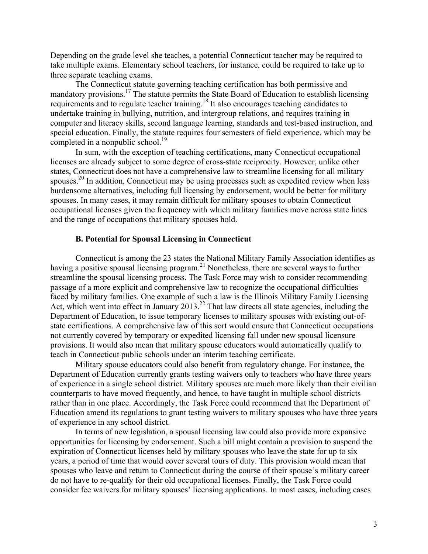Depending on the grade level she teaches, a potential Connecticut teacher may be required to take multiple exams. Elementary school teachers, for instance, could be required to take up to three separate teaching exams.

The Connecticut statute governing teaching certification has both permissive and mandatory provisions.17 The statute permits the State Board of Education to establish licensing requirements and to regulate teacher training.<sup>18</sup> It also encourages teaching candidates to undertake training in bullying, nutrition, and intergroup relations, and requires training in computer and literacy skills, second language learning, standards and test-based instruction, and special education. Finally, the statute requires four semesters of field experience, which may be completed in a nonpublic school.<sup>19</sup>

In sum, with the exception of teaching certifications, many Connecticut occupational licenses are already subject to some degree of cross-state reciprocity. However, unlike other states, Connecticut does not have a comprehensive law to streamline licensing for all military spouses.<sup>20</sup> In addition, Connecticut may be using processes such as expedited review when less burdensome alternatives, including full licensing by endorsement, would be better for military spouses. In many cases, it may remain difficult for military spouses to obtain Connecticut occupational licenses given the frequency with which military families move across state lines and the range of occupations that military spouses hold.

### **B. Potential for Spousal Licensing in Connecticut**

Connecticut is among the 23 states the National Military Family Association identifies as having a positive spousal licensing program.<sup>21</sup> Nonetheless, there are several ways to further streamline the spousal licensing process. The Task Force may wish to consider recommending passage of a more explicit and comprehensive law to recognize the occupational difficulties faced by military families. One example of such a law is the Illinois Military Family Licensing Act, which went into effect in January 2013.<sup>22</sup> That law directs all state agencies, including the Department of Education, to issue temporary licenses to military spouses with existing out-ofstate certifications. A comprehensive law of this sort would ensure that Connecticut occupations not currently covered by temporary or expedited licensing fall under new spousal licensure provisions. It would also mean that military spouse educators would automatically qualify to teach in Connecticut public schools under an interim teaching certificate.

Military spouse educators could also benefit from regulatory change. For instance, the Department of Education currently grants testing waivers only to teachers who have three years of experience in a single school district. Military spouses are much more likely than their civilian counterparts to have moved frequently, and hence, to have taught in multiple school districts rather than in one place. Accordingly, the Task Force could recommend that the Department of Education amend its regulations to grant testing waivers to military spouses who have three years of experience in any school district.

In terms of new legislation, a spousal licensing law could also provide more expansive opportunities for licensing by endorsement. Such a bill might contain a provision to suspend the expiration of Connecticut licenses held by military spouses who leave the state for up to six years, a period of time that would cover several tours of duty. This provision would mean that spouses who leave and return to Connecticut during the course of their spouse's military career do not have to re-qualify for their old occupational licenses. Finally, the Task Force could consider fee waivers for military spouses' licensing applications. In most cases, including cases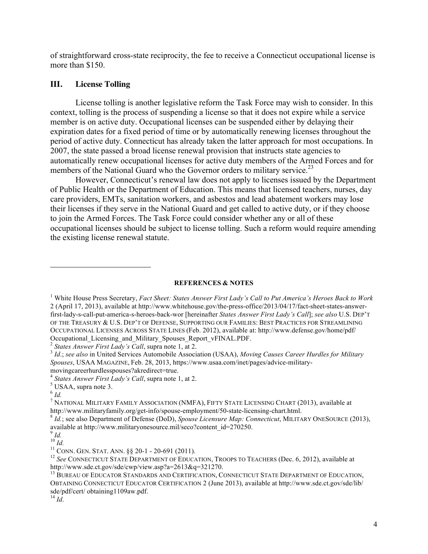of straightforward cross-state reciprocity, the fee to receive a Connecticut occupational license is more than \$150.

#### **III. License Tolling**

License tolling is another legislative reform the Task Force may wish to consider. In this context, tolling is the process of suspending a license so that it does not expire while a service member is on active duty. Occupational licenses can be suspended either by delaying their expiration dates for a fixed period of time or by automatically renewing licenses throughout the period of active duty. Connecticut has already taken the latter approach for most occupations. In 2007, the state passed a broad license renewal provision that instructs state agencies to automatically renew occupational licenses for active duty members of the Armed Forces and for members of the National Guard who the Governor orders to military service.<sup>23</sup>

However, Connecticut's renewal law does not apply to licenses issued by the Department of Public Health or the Department of Education. This means that licensed teachers, nurses, day care providers, EMTs, sanitation workers, and asbestos and lead abatement workers may lose their licenses if they serve in the National Guard and get called to active duty, or if they choose to join the Armed Forces. The Task Force could consider whether any or all of these occupational licenses should be subject to license tolling. Such a reform would require amending the existing license renewal statute.

#### **REFERENCES & NOTES**

 

*Spouses*, USAA MAGAZINE, Feb. 28, 2013, https://www.usaa.com/inet/pages/advice-military-

<sup>1</sup> White House Press Secretary, *Fact Sheet: States Answer First Lady's Call to Put America's Heroes Back to Work* 2 (April 17, 2013), available at http://www.whitehouse.gov/the-press-office/2013/04/17/fact-sheet-states-answerfirst-lady-s-call-put-america-s-heroes-back-wor [hereinafter *States Answer First Lady's Call*]; *see also* U.S. DEP'T OF THE TREASURY & U.S. DEP'T OF DEFENSE, SUPPORTING OUR FAMILIES: BEST PRACTICES FOR STREAMLINING OCCUPATIONAL LICENSES ACROSS STATE LINES (Feb. 2012), available at: http://www.defense.gov/home/pdf/ Occupational\_Licensing\_and\_Military\_Spouses\_Report\_vFINAL.PDF.<br>
<sup>2</sup> States Answer First Lady's Call, supra note 1, at 2.<br>
<sup>3</sup> Id.; see also in United Services Automobile Association (USAA), Moving Causes Career Hurdles for

movingcareerhurdlesspouses?akredirect=true.<br><sup>4</sup> *States Answer First Lady's Call*, supra note 1, at 2.<br><sup>5</sup> USAA, supra note 3.<br><sup>6</sup> *Id.* 

<sup>7</sup> NATIONAL MILITARY FAMILY ASSOCIATION (NMFA), FIFTY STATE LICENSING CHART (2013), available at http://www.militaryfamily.org/get-info/spouse-employment/50-state-licensing-chart.html.<br><sup>8</sup> *Id.*; see also Department of Defense (DoD), *Spouse Licensure Map: Connecticut*, MILITARY ONESOURCE (2013),

available at http://www.militaryonesource.mil/seco?content\_id=270250.<br><sup>9</sup> *Id.* <sup>10</sup> *Id.* 

<sup>&</sup>lt;sup>11</sup> CONN. GEN. STAT. ANN. §§ 20-1 - 20-691 (2011).<br><sup>12</sup> *See* CONNECTICUT STATE DEPARTMENT OF EDUCATION, TROOPS TO TEACHERS (Dec. 6, 2012), available at http://www.sde.ct.gov/sde/cwp/view.asp?a=2613&q=321270.<br><sup>13</sup> BUREAU OF EDUCATOR STANDARDS AND CERTIFICATION, CONNECTICUT STATE DEPARTMENT OF EDUCATION,

OBTAINING CONNECTICUT EDUCATOR CERTIFICATION 2 (June 2013), available at http://www.sde.ct.gov/sde/lib/ sde/pdf/cert/ obtaining1109aw.pdf. <sup>14</sup> *Id*.